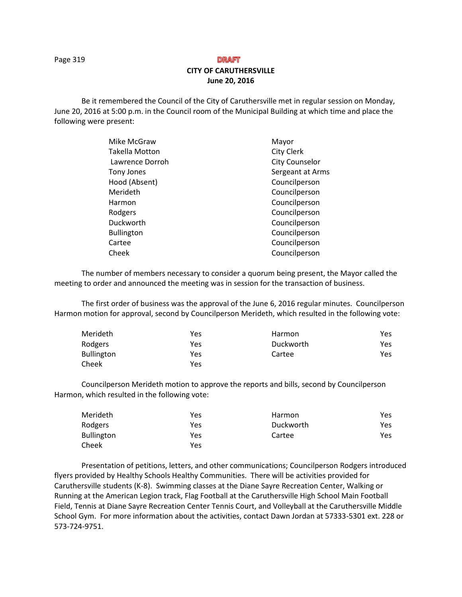Page 319

# **DRAFT CITY OF CARUTHERSVILLE June 20, 2016**

Be it remembered the Council of the City of Caruthersville met in regular session on Monday, June 20, 2016 at 5:00 p.m. in the Council room of the Municipal Building at which time and place the following were present:

| Mike McGraw           | Mayor                 |
|-----------------------|-----------------------|
| <b>Takella Motton</b> | <b>City Clerk</b>     |
| Lawrence Dorroh       | <b>City Counselor</b> |
| Tony Jones            | Sergeant at Arms      |
| Hood (Absent)         | Councilperson         |
| Merideth              | Councilperson         |
| Harmon                | Councilperson         |
| Rodgers               | Councilperson         |
| Duckworth             | Councilperson         |
| <b>Bullington</b>     | Councilperson         |
| Cartee                | Councilperson         |
| Cheek                 | Councilperson         |

The number of members necessary to consider a quorum being present, the Mayor called the meeting to order and announced the meeting was in session for the transaction of business.

The first order of business was the approval of the June 6, 2016 regular minutes. Councilperson Harmon motion for approval, second by Councilperson Merideth, which resulted in the following vote:

| Merideth          | Yes | Harmon    | Yes. |
|-------------------|-----|-----------|------|
| Rodgers           | Yes | Duckworth | Yes  |
| <b>Bullington</b> | Yes | Cartee    | Yes  |
| Cheek             | Yes |           |      |

Councilperson Merideth motion to approve the reports and bills, second by Councilperson Harmon, which resulted in the following vote:

| Merideth          | Yes | Harmon    | Yes |
|-------------------|-----|-----------|-----|
| Rodgers           | Yes | Duckworth | Yes |
| <b>Bullington</b> | Yes | Cartee    | Yes |
| Cheek             | Yes |           |     |

Presentation of petitions, letters, and other communications; Councilperson Rodgers introduced flyers provided by Healthy Schools Healthy Communities. There will be activities provided for Caruthersville students (K-8). Swimming classes at the Diane Sayre Recreation Center, Walking or Running at the American Legion track, Flag Football at the Caruthersville High School Main Football Field, Tennis at Diane Sayre Recreation Center Tennis Court, and Volleyball at the Caruthersville Middle School Gym. For more information about the activities, contact Dawn Jordan at 57333-5301 ext. 228 or 573-724-9751.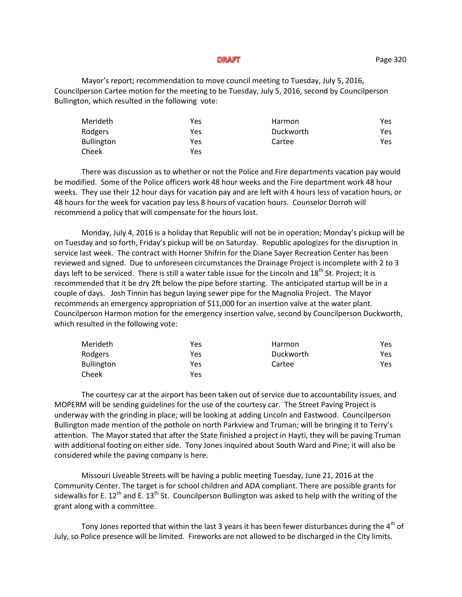#### **DRAFT**

Mayor's report; recommendation to move council meeting to Tuesday, July 5, 2016, Councilperson Cartee motion for the meeting to be Tuesday, July 5, 2016, second by Councilperson Bullington, which resulted in the following vote:

| Merideth          | Yes | Harmon    | Yes |
|-------------------|-----|-----------|-----|
| Rodgers           | Yes | Duckworth | Yes |
| <b>Bullington</b> | Yes | Cartee    | Yes |
| Cheek             | Yes |           |     |

There was discussion as to whether or not the Police and Fire departments vacation pay would be modified. Some of the Police officers work 48 hour weeks and the Fire department work 48 hour weeks. They use their 12 hour days for vacation pay and are left with 4 hours less of vacation hours, or 48 hours for the week for vacation pay less 8 hours of vacation hours. Counselor Dorroh will recommend a policy that will compensate for the hours lost.

Monday, July 4, 2016 is a holiday that Republic will not be in operation; Monday's pickup will be on Tuesday and so forth, Friday's pickup will be on Saturday. Republic apologizes for the disruption in service last week. The contract with Horner Shifrin for the Diane Sayer Recreation Center has been reviewed and signed. Due to unforeseen circumstances the Drainage Project is incomplete with 2 to 3 days left to be serviced. There is still a water table issue for the Lincoln and 18<sup>th</sup> St. Project; it is recommended that it be dry 2ft below the pipe before starting. The anticipated startup will be in a couple of days. Josh Tinnin has begun laying sewer pipe for the Magnolia Project. The Mayor recommends an emergency appropriation of \$11,000 for an insertion valve at the water plant. Councilperson Harmon motion for the emergency insertion valve, second by Councilperson Duckworth, which resulted in the following vote:

| Merideth   | Yes | Harmon    | Yes |
|------------|-----|-----------|-----|
| Rodgers    | Yes | Duckworth | Yes |
| Bullington | Yes | Cartee    | Yes |
| Cheek      | Yes |           |     |

The courtesy car at the airport has been taken out of service due to accountability issues, and MOPERM will be sending guidelines for the use of the courtesy car. The Street Paving Project is underway with the grinding in place; will be looking at adding Lincoln and Eastwood. Councilperson Bullington made mention of the pothole on north Parkview and Truman; will be bringing it to Terry's attention. The Mayor stated that after the State finished a project in Hayti, they will be paving Truman with additional footing on either side. Tony Jones inquired about South Ward and Pine; it will also be considered while the paving company is here.

Missouri Liveable Streets will be having a public meeting Tuesday, June 21, 2016 at the Community Center. The target is for school children and ADA compliant. There are possible grants for sidewalks for E. 12<sup>th</sup> and E. 13<sup>th</sup> St. Councilperson Bullington was asked to help with the writing of the grant along with a committee.

Tony Jones reported that within the last 3 years it has been fewer disturbances during the 4<sup>th</sup> of July, so Police presence will be limited. Fireworks are not allowed to be discharged in the City limits.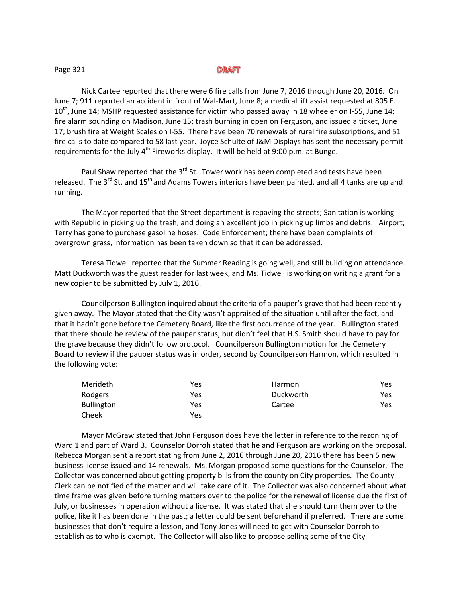## Page 321

## **DRAFT**

Nick Cartee reported that there were 6 fire calls from June 7, 2016 through June 20, 2016. On June 7; 911 reported an accident in front of Wal-Mart, June 8; a medical lift assist requested at 805 E.  $10^{th}$ , June 14; MSHP requested assistance for victim who passed away in 18 wheeler on I-55, June 14; fire alarm sounding on Madison, June 15; trash burning in open on Ferguson, and issued a ticket, June 17; brush fire at Weight Scales on I-55. There have been 70 renewals of rural fire subscriptions, and 51 fire calls to date compared to 58 last year. Joyce Schulte of J&M Displays has sent the necessary permit requirements for the July  $4<sup>th</sup>$  Fireworks display. It will be held at 9:00 p.m. at Bunge.

Paul Shaw reported that the 3<sup>rd</sup> St. Tower work has been completed and tests have been released. The  $3^{rd}$  St. and  $15^{th}$  and Adams Towers interiors have been painted, and all 4 tanks are up and running.

The Mayor reported that the Street department is repaving the streets; Sanitation is working with Republic in picking up the trash, and doing an excellent job in picking up limbs and debris. Airport; Terry has gone to purchase gasoline hoses. Code Enforcement; there have been complaints of overgrown grass, information has been taken down so that it can be addressed.

Teresa Tidwell reported that the Summer Reading is going well, and still building on attendance. Matt Duckworth was the guest reader for last week, and Ms. Tidwell is working on writing a grant for a new copier to be submitted by July 1, 2016.

Councilperson Bullington inquired about the criteria of a pauper's grave that had been recently given away. The Mayor stated that the City wasn't appraised of the situation until after the fact, and that it hadn't gone before the Cemetery Board, like the first occurrence of the year. Bullington stated that there should be review of the pauper status, but didn't feel that H.S. Smith should have to pay for the grave because they didn't follow protocol. Councilperson Bullington motion for the Cemetery Board to review if the pauper status was in order, second by Councilperson Harmon, which resulted in the following vote:

| Merideth          | Yes | Harmon    | Yes |
|-------------------|-----|-----------|-----|
| Rodgers           | Yes | Duckworth | Yes |
| <b>Bullington</b> | Yes | Cartee    | Yes |
| Cheek             | Yes |           |     |

Mayor McGraw stated that John Ferguson does have the letter in reference to the rezoning of Ward 1 and part of Ward 3. Counselor Dorroh stated that he and Ferguson are working on the proposal. Rebecca Morgan sent a report stating from June 2, 2016 through June 20, 2016 there has been 5 new business license issued and 14 renewals. Ms. Morgan proposed some questions for the Counselor. The Collector was concerned about getting property bills from the county on City properties. The County Clerk can be notified of the matter and will take care of it. The Collector was also concerned about what time frame was given before turning matters over to the police for the renewal of license due the first of July, or businesses in operation without a license. It was stated that she should turn them over to the police, like it has been done in the past; a letter could be sent beforehand if preferred. There are some businesses that don't require a lesson, and Tony Jones will need to get with Counselor Dorroh to establish as to who is exempt. The Collector will also like to propose selling some of the City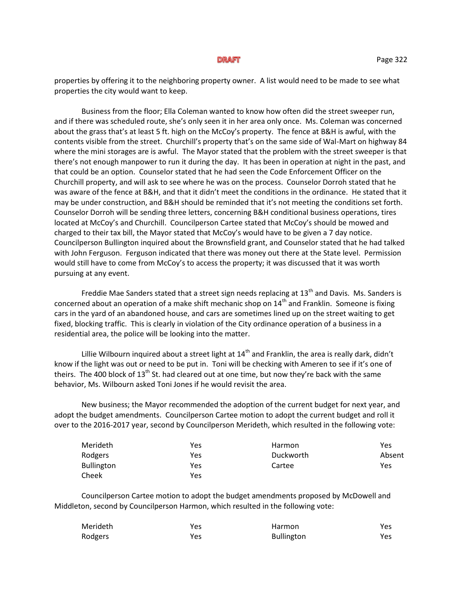#### **DRAFT**

properties by offering it to the neighboring property owner. A list would need to be made to see what properties the city would want to keep.

Business from the floor; Ella Coleman wanted to know how often did the street sweeper run, and if there was scheduled route, she's only seen it in her area only once. Ms. Coleman was concerned about the grass that's at least 5 ft. high on the McCoy's property. The fence at B&H is awful, with the contents visible from the street. Churchill's property that's on the same side of Wal-Mart on highway 84 where the mini storages are is awful. The Mayor stated that the problem with the street sweeper is that there's not enough manpower to run it during the day. It has been in operation at night in the past, and that could be an option. Counselor stated that he had seen the Code Enforcement Officer on the Churchill property, and will ask to see where he was on the process. Counselor Dorroh stated that he was aware of the fence at B&H, and that it didn't meet the conditions in the ordinance. He stated that it may be under construction, and B&H should be reminded that it's not meeting the conditions set forth. Counselor Dorroh will be sending three letters, concerning B&H conditional business operations, tires located at McCoy's and Churchill. Councilperson Cartee stated that McCoy's should be mowed and charged to their tax bill, the Mayor stated that McCoy's would have to be given a 7 day notice. Councilperson Bullington inquired about the Brownsfield grant, and Counselor stated that he had talked with John Ferguson. Ferguson indicated that there was money out there at the State level. Permission would still have to come from McCoy's to access the property; it was discussed that it was worth pursuing at any event.

Freddie Mae Sanders stated that a street sign needs replacing at 13<sup>th</sup> and Davis. Ms. Sanders is concerned about an operation of a make shift mechanic shop on 14<sup>th</sup> and Franklin. Someone is fixing cars in the yard of an abandoned house, and cars are sometimes lined up on the street waiting to get fixed, blocking traffic. This is clearly in violation of the City ordinance operation of a business in a residential area, the police will be looking into the matter.

Lillie Wilbourn inquired about a street light at  $14<sup>th</sup>$  and Franklin, the area is really dark, didn't know if the light was out or need to be put in. Toni will be checking with Ameren to see if it's one of theirs. The 400 block of  $13<sup>th</sup>$  St. had cleared out at one time, but now they're back with the same behavior, Ms. Wilbourn asked Toni Jones if he would revisit the area.

New business; the Mayor recommended the adoption of the current budget for next year, and adopt the budget amendments. Councilperson Cartee motion to adopt the current budget and roll it over to the 2016-2017 year, second by Councilperson Merideth, which resulted in the following vote:

| Merideth          | Yes | <b>Harmon</b> | Yes    |
|-------------------|-----|---------------|--------|
| Rodgers           | Yes | Duckworth     | Absent |
| <b>Bullington</b> | Yes | Cartee        | Yes    |
| Cheek             | Yes |               |        |

Councilperson Cartee motion to adopt the budget amendments proposed by McDowell and Middleton, second by Councilperson Harmon, which resulted in the following vote:

| Merideth | Yes | Harmon            | Yes  |
|----------|-----|-------------------|------|
| Rodgers  | Yes | <b>Bullington</b> | Yes. |